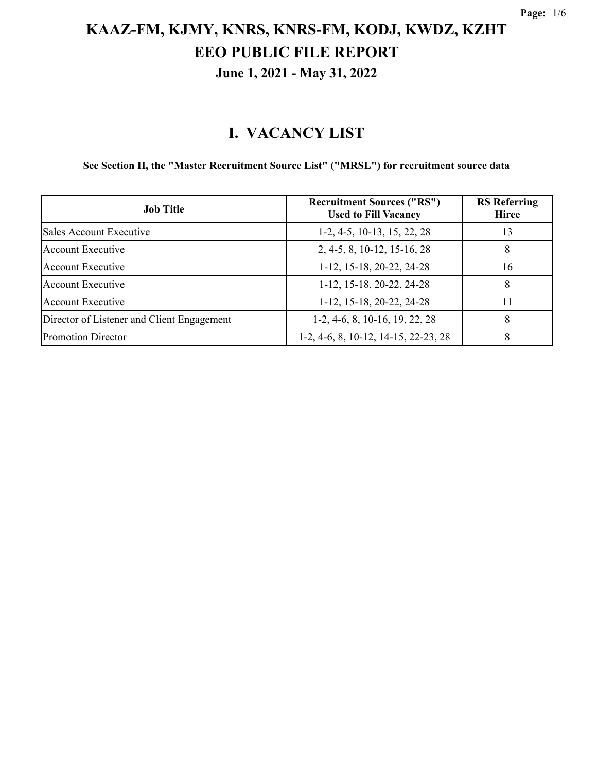#### **I. VACANCY LIST**

#### **See Section II, the "Master Recruitment Source List" ("MRSL") for recruitment source data**

| <b>Job Title</b>                           | <b>Recruitment Sources ("RS")</b><br><b>Used to Fill Vacancy</b> | <b>RS</b> Referring<br><b>Hiree</b> |
|--------------------------------------------|------------------------------------------------------------------|-------------------------------------|
| Sales Account Executive                    | $1-2, 4-5, 10-13, 15, 22, 28$                                    | 13                                  |
| <b>Account Executive</b>                   | 2, 4-5, 8, 10-12, 15-16, 28                                      | 8                                   |
| <b>Account Executive</b>                   | 1-12, 15-18, 20-22, 24-28                                        | 16                                  |
| <b>Account Executive</b>                   | 1-12, 15-18, 20-22, 24-28                                        | 8                                   |
| <b>Account Executive</b>                   | 1-12, 15-18, 20-22, 24-28                                        | 11                                  |
| Director of Listener and Client Engagement | $1-2, 4-6, 8, 10-16, 19, 22, 28$                                 | 8                                   |
| <b>Promotion Director</b>                  | 1-2, 4-6, 8, 10-12, 14-15, 22-23, 28                             | 8                                   |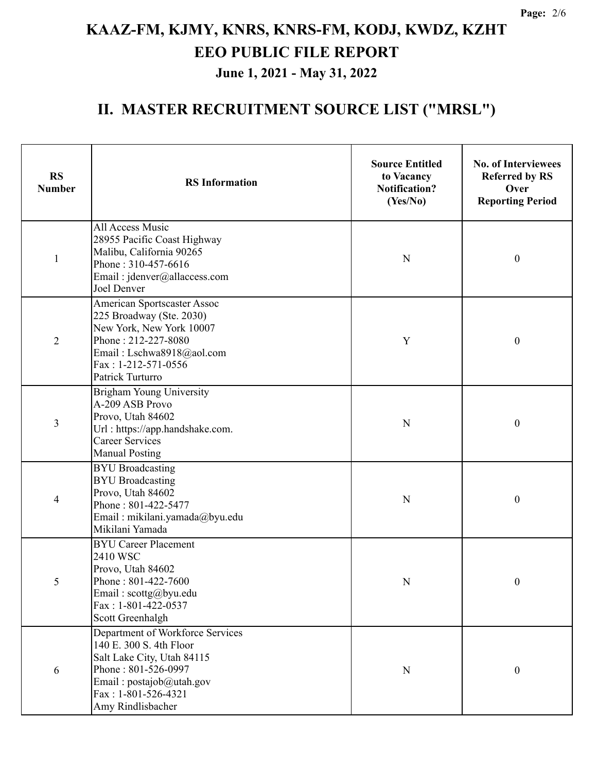| <b>RS</b><br><b>Number</b> | <b>RS</b> Information                                                                                                                                                                      | <b>Source Entitled</b><br>to Vacancy<br><b>Notification?</b><br>(Yes/No) | <b>No. of Interviewees</b><br><b>Referred by RS</b><br>Over<br><b>Reporting Period</b> |
|----------------------------|--------------------------------------------------------------------------------------------------------------------------------------------------------------------------------------------|--------------------------------------------------------------------------|----------------------------------------------------------------------------------------|
| $\mathbf{1}$               | All Access Music<br>28955 Pacific Coast Highway<br>Malibu, California 90265<br>Phone: 310-457-6616<br>Email: jdenver@allaccess.com<br>Joel Denver                                          | N                                                                        | $\boldsymbol{0}$                                                                       |
| $\overline{2}$             | American Sportscaster Assoc<br>225 Broadway (Ste. 2030)<br>New York, New York 10007<br>Phone: 212-227-8080<br>Email: Lschwa8918@aol.com<br>$Fax: 1-212-571-0556$<br>Patrick Turturro       |                                                                          | $\boldsymbol{0}$                                                                       |
| 3                          | <b>Brigham Young University</b><br>A-209 ASB Provo<br>Provo, Utah 84602<br>Url: https://app.handshake.com.<br><b>Career Services</b><br><b>Manual Posting</b>                              | N                                                                        | $\boldsymbol{0}$                                                                       |
| $\overline{4}$             | <b>BYU</b> Broadcasting<br><b>BYU</b> Broadcasting<br>Provo, Utah 84602<br>Phone: 801-422-5477<br>Email: mikilani.yamada@byu.edu<br>Mikilani Yamada                                        | N                                                                        | $\boldsymbol{0}$                                                                       |
| 5                          | <b>BYU</b> Career Placement<br>2410 WSC<br>Provo, Utah 84602<br>Phone: 801-422-7600<br>Email: scottg@byu.edu<br>Fax: 1-801-422-0537<br>Scott Greenhalgh                                    | N                                                                        | $\boldsymbol{0}$                                                                       |
| 6                          | Department of Workforce Services<br>140 E. 300 S. 4th Floor<br>Salt Lake City, Utah 84115<br>Phone: 801-526-0997<br>Email: $postajob@utah.gov$<br>Fax: 1-801-526-4321<br>Amy Rindlisbacher | $\mathbf N$                                                              | $\boldsymbol{0}$                                                                       |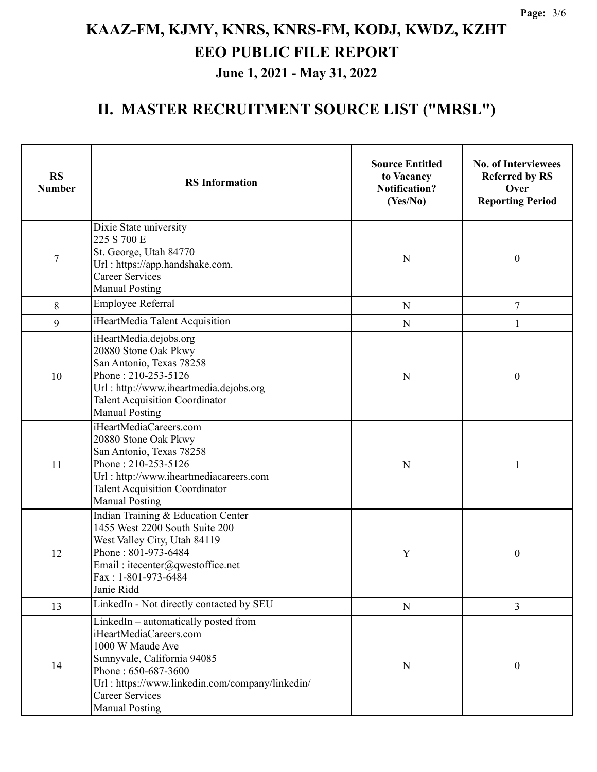| <b>RS</b><br><b>Number</b> | <b>RS</b> Information                                                                                                                                                                                                                          | <b>Source Entitled</b><br>to Vacancy<br><b>Notification?</b><br>(Yes/No) | <b>No. of Interviewees</b><br><b>Referred by RS</b><br>Over<br><b>Reporting Period</b> |
|----------------------------|------------------------------------------------------------------------------------------------------------------------------------------------------------------------------------------------------------------------------------------------|--------------------------------------------------------------------------|----------------------------------------------------------------------------------------|
| $\tau$                     | Dixie State university<br>225 S 700 E<br>St. George, Utah 84770<br>Url: https://app.handshake.com.<br><b>Career Services</b><br><b>Manual Posting</b>                                                                                          | N                                                                        | $\boldsymbol{0}$                                                                       |
| 8                          | Employee Referral                                                                                                                                                                                                                              | N                                                                        | $\tau$                                                                                 |
| 9                          | iHeartMedia Talent Acquisition                                                                                                                                                                                                                 | $\mathbf N$                                                              | 1                                                                                      |
| 10                         | iHeartMedia.dejobs.org<br>20880 Stone Oak Pkwy<br>San Antonio, Texas 78258<br>Phone: 210-253-5126<br>Url: http://www.iheartmedia.dejobs.org<br><b>Talent Acquisition Coordinator</b><br><b>Manual Posting</b>                                  | N                                                                        | $\boldsymbol{0}$                                                                       |
| 11                         | iHeartMediaCareers.com<br>20880 Stone Oak Pkwy<br>San Antonio, Texas 78258<br>Phone: 210-253-5126<br>Url: http://www.iheartmediacareers.com<br><b>Talent Acquisition Coordinator</b><br><b>Manual Posting</b>                                  | N                                                                        | 1                                                                                      |
| 12                         | Indian Training & Education Center<br>1455 West 2200 South Suite 200<br>West Valley City, Utah 84119<br>Phone: 801-973-6484<br>Email: itecenter@qwestoffice.net<br>Fax: 1-801-973-6484<br>Janie Ridd                                           | Y                                                                        | $\boldsymbol{0}$                                                                       |
| 13                         | LinkedIn - Not directly contacted by SEU                                                                                                                                                                                                       | ${\bf N}$                                                                | 3                                                                                      |
| 14                         | LinkedIn - automatically posted from<br>iHeartMediaCareers.com<br>1000 W Maude Ave<br>Sunnyvale, California 94085<br>Phone: 650-687-3600<br>Url: https://www.linkedin.com/company/linkedin/<br><b>Career Services</b><br><b>Manual Posting</b> | N                                                                        | $\boldsymbol{0}$                                                                       |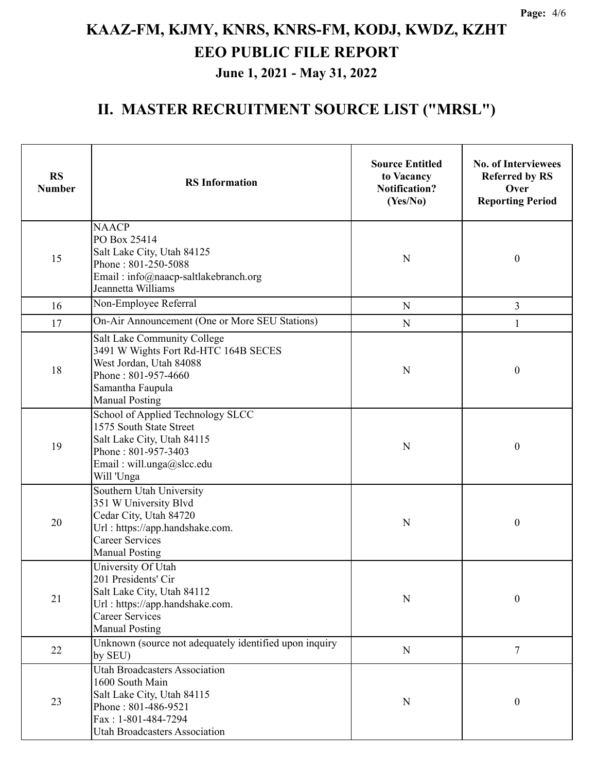| <b>RS</b><br><b>Number</b> | <b>RS</b> Information                                                                                                                                                       | <b>Source Entitled</b><br>to Vacancy<br><b>Notification?</b><br>(Yes/No) | <b>No. of Interviewees</b><br><b>Referred by RS</b><br>Over<br><b>Reporting Period</b> |
|----------------------------|-----------------------------------------------------------------------------------------------------------------------------------------------------------------------------|--------------------------------------------------------------------------|----------------------------------------------------------------------------------------|
| 15                         | <b>NAACP</b><br>PO Box 25414<br>Salt Lake City, Utah 84125<br>N<br>Phone: 801-250-5088<br>Email: info@naacp-saltlakebranch.org<br>Jeannetta Williams                        |                                                                          | $\boldsymbol{0}$                                                                       |
| 16                         | Non-Employee Referral                                                                                                                                                       | ${\bf N}$                                                                | 3                                                                                      |
| 17                         | On-Air Announcement (One or More SEU Stations)                                                                                                                              | ${\bf N}$                                                                | 1                                                                                      |
| 18                         | Salt Lake Community College<br>3491 W Wights Fort Rd-HTC 164B SECES<br>West Jordan, Utah 84088<br>Phone: 801-957-4660<br>Samantha Faupula<br><b>Manual Posting</b>          | N                                                                        | $\boldsymbol{0}$                                                                       |
| 19                         | School of Applied Technology SLCC<br>1575 South State Street<br>Salt Lake City, Utah 84115<br>Phone: 801-957-3403<br>Email: will.unga@slcc.edu<br>Will 'Unga                |                                                                          | $\boldsymbol{0}$                                                                       |
| 20                         | Southern Utah University<br>351 W University Blvd<br>Cedar City, Utah 84720<br>Url: https://app.handshake.com.<br><b>Career Services</b><br><b>Manual Posting</b>           | N                                                                        | $\boldsymbol{0}$                                                                       |
| 21                         | University Of Utah<br>201 Presidents' Cir<br>Salt Lake City, Utah 84112<br>Url: https://app.handshake.com.<br><b>Career Services</b><br><b>Manual Posting</b>               | ${\bf N}$                                                                | $\boldsymbol{0}$                                                                       |
| 22                         | Unknown (source not adequately identified upon inquiry<br>by SEU)                                                                                                           | ${\bf N}$                                                                | $\tau$                                                                                 |
| 23                         | <b>Utah Broadcasters Association</b><br>1600 South Main<br>Salt Lake City, Utah 84115<br>Phone: 801-486-9521<br>Fax: 1-801-484-7294<br><b>Utah Broadcasters Association</b> | N                                                                        | $\boldsymbol{0}$                                                                       |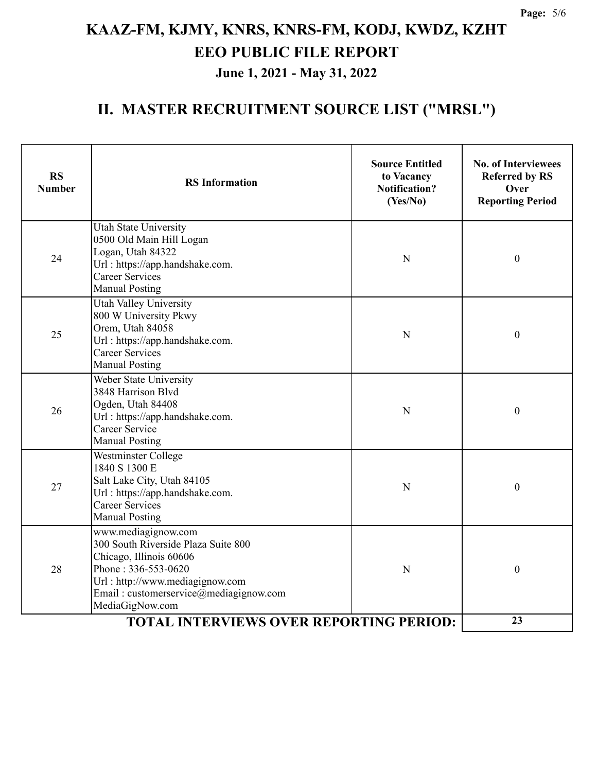| <b>RS</b><br><b>Number</b>                     | <b>RS</b> Information                                                                                                                                                                                        | <b>Source Entitled</b><br>to Vacancy<br><b>Notification?</b><br>(Yes/No) | <b>No. of Interviewees</b><br><b>Referred by RS</b><br>Over<br><b>Reporting Period</b> |
|------------------------------------------------|--------------------------------------------------------------------------------------------------------------------------------------------------------------------------------------------------------------|--------------------------------------------------------------------------|----------------------------------------------------------------------------------------|
| 24                                             | <b>Utah State University</b><br>0500 Old Main Hill Logan<br>Logan, Utah 84322<br>Url: https://app.handshake.com.<br><b>Career Services</b><br><b>Manual Posting</b>                                          | N                                                                        | $\boldsymbol{0}$                                                                       |
| 25                                             | <b>Utah Valley University</b><br>800 W University Pkwy<br>Orem, Utah 84058<br>Url: https://app.handshake.com.<br><b>Career Services</b><br><b>Manual Posting</b>                                             | N                                                                        | $\boldsymbol{0}$                                                                       |
| 26                                             | Weber State University<br>3848 Harrison Blvd<br>Ogden, Utah 84408<br>Url: https://app.handshake.com.<br>Career Service<br><b>Manual Posting</b>                                                              | N                                                                        | $\boldsymbol{0}$                                                                       |
| 27                                             | Westminster College<br>1840 S 1300 E<br>Salt Lake City, Utah 84105<br>Url: https://app.handshake.com.<br><b>Career Services</b><br><b>Manual Posting</b>                                                     | N                                                                        | $\boldsymbol{0}$                                                                       |
| 28                                             | www.mediagignow.com<br>300 South Riverside Plaza Suite 800<br>Chicago, Illinois 60606<br>Phone: 336-553-0620<br>Url: http://www.mediagignow.com<br>Email: customerservice@mediagignow.com<br>MediaGigNow.com | N                                                                        | $\boldsymbol{0}$                                                                       |
| <b>TOTAL INTERVIEWS OVER REPORTING PERIOD:</b> |                                                                                                                                                                                                              |                                                                          | 23                                                                                     |